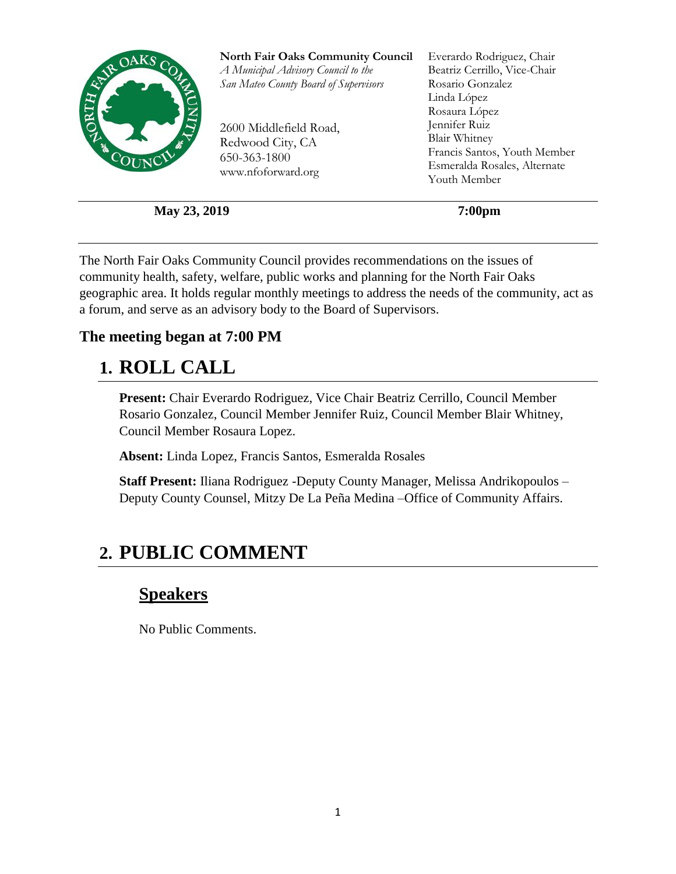

**May 23, 2019** 7:00pm

The North Fair Oaks Community Council provides recommendations on the issues of community health, safety, welfare, public works and planning for the North Fair Oaks geographic area. It holds regular monthly meetings to address the needs of the community, act as a forum, and serve as an advisory body to the Board of Supervisors.

#### **The meeting began at 7:00 PM**

### **1. ROLL CALL**

**Present:** Chair Everardo Rodriguez, Vice Chair Beatriz Cerrillo, Council Member Rosario Gonzalez, Council Member Jennifer Ruiz, Council Member Blair Whitney, Council Member Rosaura Lopez.

**Absent:** Linda Lopez, Francis Santos, Esmeralda Rosales

**Staff Present:** Iliana Rodriguez -Deputy County Manager, Melissa Andrikopoulos – Deputy County Counsel, Mitzy De La Peña Medina –Office of Community Affairs.

## **2. PUBLIC COMMENT**

#### **Speakers**

No Public Comments.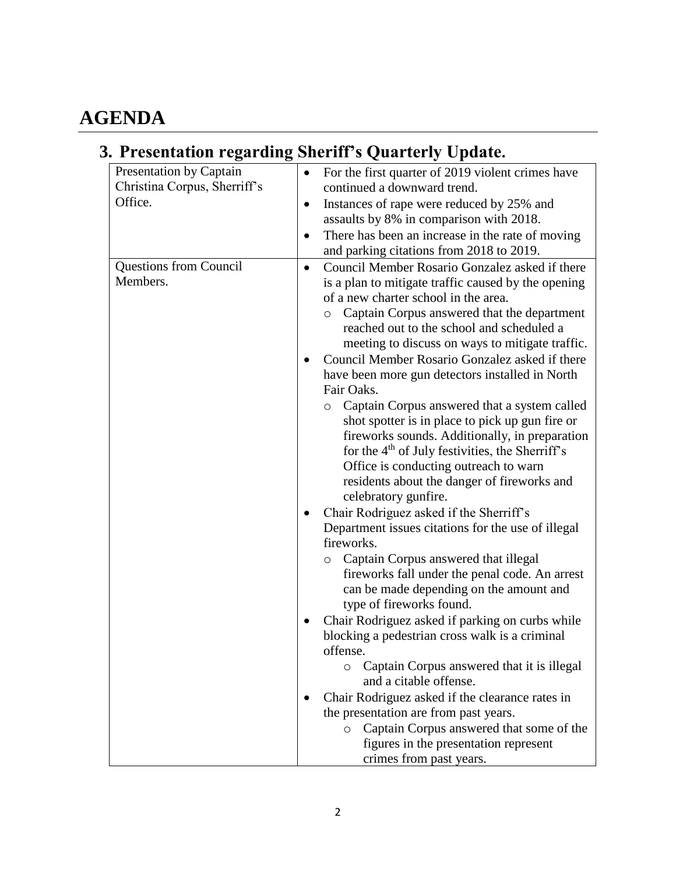# **AGENDA**

# **3. Presentation regarding Sheriff's Quarterly Update.**

| Presentation by Captain       | For the first quarter of 2019 violent crimes have<br>$\bullet$                                |
|-------------------------------|-----------------------------------------------------------------------------------------------|
| Christina Corpus, Sherriff's  | continued a downward trend.                                                                   |
| Office.                       | Instances of rape were reduced by 25% and<br>$\bullet$                                        |
|                               | assaults by 8% in comparison with 2018.                                                       |
|                               | There has been an increase in the rate of moving<br>٠                                         |
|                               | and parking citations from 2018 to 2019.                                                      |
| <b>Questions from Council</b> | Council Member Rosario Gonzalez asked if there<br>$\bullet$                                   |
| Members.                      | is a plan to mitigate traffic caused by the opening                                           |
|                               | of a new charter school in the area.                                                          |
|                               | Captain Corpus answered that the department<br>$\circ$                                        |
|                               | reached out to the school and scheduled a                                                     |
|                               | meeting to discuss on ways to mitigate traffic.                                               |
|                               | Council Member Rosario Gonzalez asked if there                                                |
|                               | have been more gun detectors installed in North                                               |
|                               | Fair Oaks.                                                                                    |
|                               | Captain Corpus answered that a system called<br>$\circ$                                       |
|                               | shot spotter is in place to pick up gun fire or                                               |
|                               | fireworks sounds. Additionally, in preparation                                                |
|                               | for the 4 <sup>th</sup> of July festivities, the Sherriff's                                   |
|                               | Office is conducting outreach to warn                                                         |
|                               | residents about the danger of fireworks and                                                   |
|                               | celebratory gunfire.                                                                          |
|                               | Chair Rodriguez asked if the Sherriff's<br>Department issues citations for the use of illegal |
|                               | fireworks.                                                                                    |
|                               | Captain Corpus answered that illegal<br>$\circ$                                               |
|                               | fireworks fall under the penal code. An arrest                                                |
|                               | can be made depending on the amount and                                                       |
|                               | type of fireworks found.                                                                      |
|                               | Chair Rodriguez asked if parking on curbs while                                               |
|                               | blocking a pedestrian cross walk is a criminal                                                |
|                               | offense.                                                                                      |
|                               | Captain Corpus answered that it is illegal<br>$\circ$                                         |
|                               | and a citable offense.                                                                        |
|                               | Chair Rodriguez asked if the clearance rates in                                               |
|                               | the presentation are from past years.                                                         |
|                               | Captain Corpus answered that some of the<br>$\circ$                                           |
|                               | figures in the presentation represent                                                         |
|                               | crimes from past years.                                                                       |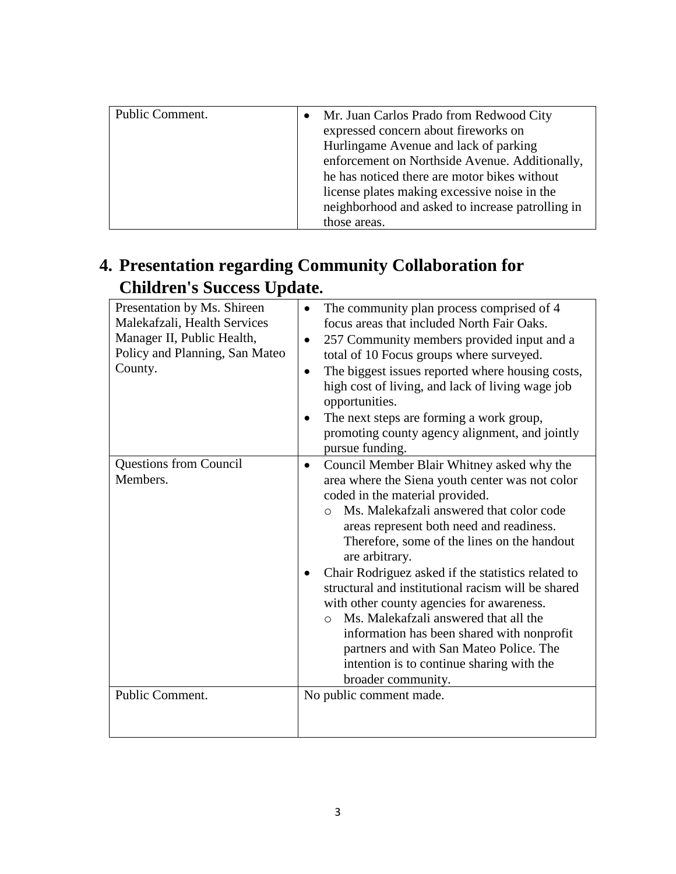| Public Comment. | $\bullet$ | Mr. Juan Carlos Prado from Redwood City          |
|-----------------|-----------|--------------------------------------------------|
|                 |           | expressed concern about fireworks on             |
|                 |           | Hurlingame Avenue and lack of parking            |
|                 |           | enforcement on Northside Avenue. Additionally,   |
|                 |           | he has noticed there are motor bikes without     |
|                 |           | license plates making excessive noise in the     |
|                 |           | neighborhood and asked to increase patrolling in |
|                 |           | those areas.                                     |

### **4. Presentation regarding Community Collaboration for Children's Success Update.**

| Presentation by Ms. Shireen<br>Malekafzali, Health Services<br>Manager II, Public Health,<br>Policy and Planning, San Mateo<br>County. | The community plan process comprised of 4<br>$\bullet$<br>focus areas that included North Fair Oaks.<br>257 Community members provided input and a<br>$\bullet$<br>total of 10 Focus groups where surveyed.<br>The biggest issues reported where housing costs,<br>$\bullet$<br>high cost of living, and lack of living wage job<br>opportunities.<br>The next steps are forming a work group,<br>promoting county agency alignment, and jointly<br>pursue funding.                                                                                                                                                                                                                           |
|----------------------------------------------------------------------------------------------------------------------------------------|-----------------------------------------------------------------------------------------------------------------------------------------------------------------------------------------------------------------------------------------------------------------------------------------------------------------------------------------------------------------------------------------------------------------------------------------------------------------------------------------------------------------------------------------------------------------------------------------------------------------------------------------------------------------------------------------------|
| <b>Questions from Council</b><br>Members.                                                                                              | Council Member Blair Whitney asked why the<br>$\bullet$<br>area where the Siena youth center was not color<br>coded in the material provided.<br>Ms. Malekafzali answered that color code<br>$\bigcap$<br>areas represent both need and readiness.<br>Therefore, some of the lines on the handout<br>are arbitrary.<br>Chair Rodriguez asked if the statistics related to<br>structural and institutional racism will be shared<br>with other county agencies for awareness.<br>Ms. Malekafzali answered that all the<br>$\Omega$<br>information has been shared with nonprofit<br>partners and with San Mateo Police. The<br>intention is to continue sharing with the<br>broader community. |
| Public Comment.                                                                                                                        | No public comment made.                                                                                                                                                                                                                                                                                                                                                                                                                                                                                                                                                                                                                                                                       |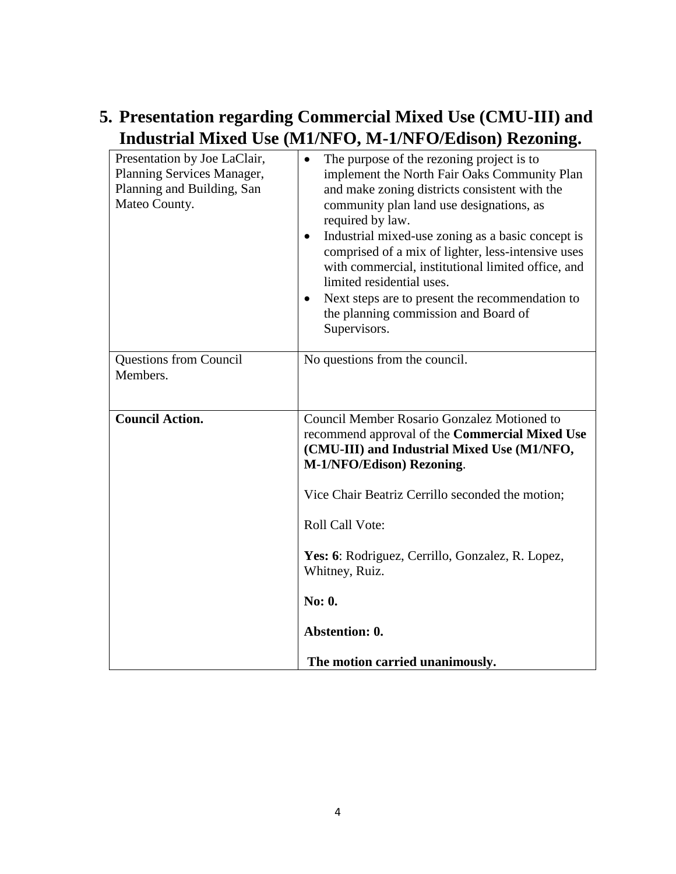#### **5. Presentation regarding Commercial Mixed Use (CMU-III) and Industrial Mixed Use (M1/NFO, M-1/NFO/Edison) Rezoning.**

| Presentation by Joe LaClair,<br>Planning Services Manager,<br>Planning and Building, San<br>Mateo County. | The purpose of the rezoning project is to<br>$\bullet$<br>implement the North Fair Oaks Community Plan<br>and make zoning districts consistent with the<br>community plan land use designations, as<br>required by law.<br>Industrial mixed-use zoning as a basic concept is<br>$\bullet$<br>comprised of a mix of lighter, less-intensive uses<br>with commercial, institutional limited office, and<br>limited residential uses.<br>Next steps are to present the recommendation to<br>the planning commission and Board of<br>Supervisors. |
|-----------------------------------------------------------------------------------------------------------|-----------------------------------------------------------------------------------------------------------------------------------------------------------------------------------------------------------------------------------------------------------------------------------------------------------------------------------------------------------------------------------------------------------------------------------------------------------------------------------------------------------------------------------------------|
| <b>Questions from Council</b><br>Members.                                                                 | No questions from the council.                                                                                                                                                                                                                                                                                                                                                                                                                                                                                                                |
| <b>Council Action.</b>                                                                                    | Council Member Rosario Gonzalez Motioned to<br>recommend approval of the <b>Commercial Mixed Use</b><br>(CMU-III) and Industrial Mixed Use (M1/NFO,<br>M-1/NFO/Edison) Rezoning.<br>Vice Chair Beatriz Cerrillo seconded the motion;<br>Roll Call Vote:<br>Yes: 6: Rodriguez, Cerrillo, Gonzalez, R. Lopez,<br>Whitney, Ruiz.<br>No: 0.<br>Abstention: 0.<br>The motion carried unanimously.                                                                                                                                                  |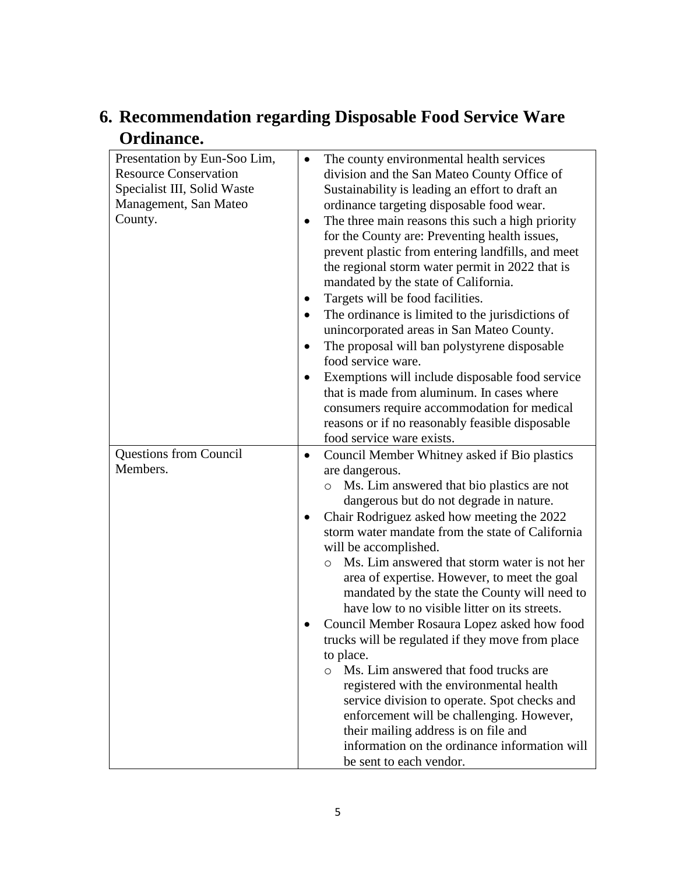### **6. Recommendation regarding Disposable Food Service Ware Ordinance.**

| Presentation by Eun-Soo Lim,<br><b>Resource Conservation</b><br>Specialist III, Solid Waste<br>Management, San Mateo<br>County. | The county environmental health services<br>$\bullet$<br>division and the San Mateo County Office of<br>Sustainability is leading an effort to draft an<br>ordinance targeting disposable food wear.<br>The three main reasons this such a high priority<br>٠<br>for the County are: Preventing health issues,<br>prevent plastic from entering landfills, and meet<br>the regional storm water permit in 2022 that is<br>mandated by the state of California.<br>Targets will be food facilities.<br>$\bullet$<br>The ordinance is limited to the jurisdictions of<br>$\bullet$<br>unincorporated areas in San Mateo County.<br>The proposal will ban polystyrene disposable<br>$\bullet$<br>food service ware.<br>Exemptions will include disposable food service<br>$\bullet$<br>that is made from aluminum. In cases where<br>consumers require accommodation for medical<br>reasons or if no reasonably feasible disposable<br>food service ware exists.   |
|---------------------------------------------------------------------------------------------------------------------------------|-----------------------------------------------------------------------------------------------------------------------------------------------------------------------------------------------------------------------------------------------------------------------------------------------------------------------------------------------------------------------------------------------------------------------------------------------------------------------------------------------------------------------------------------------------------------------------------------------------------------------------------------------------------------------------------------------------------------------------------------------------------------------------------------------------------------------------------------------------------------------------------------------------------------------------------------------------------------|
| <b>Questions from Council</b><br>Members.                                                                                       | Council Member Whitney asked if Bio plastics<br>$\bullet$<br>are dangerous.<br>Ms. Lim answered that bio plastics are not<br>O<br>dangerous but do not degrade in nature.<br>Chair Rodriguez asked how meeting the 2022<br>$\bullet$<br>storm water mandate from the state of California<br>will be accomplished.<br>Ms. Lim answered that storm water is not her<br>$\circ$<br>area of expertise. However, to meet the goal<br>mandated by the state the County will need to<br>have low to no visible litter on its streets.<br>Council Member Rosaura Lopez asked how food<br>trucks will be regulated if they move from place<br>to place.<br>Ms. Lim answered that food trucks are<br>$\circ$<br>registered with the environmental health<br>service division to operate. Spot checks and<br>enforcement will be challenging. However,<br>their mailing address is on file and<br>information on the ordinance information will<br>be sent to each vendor. |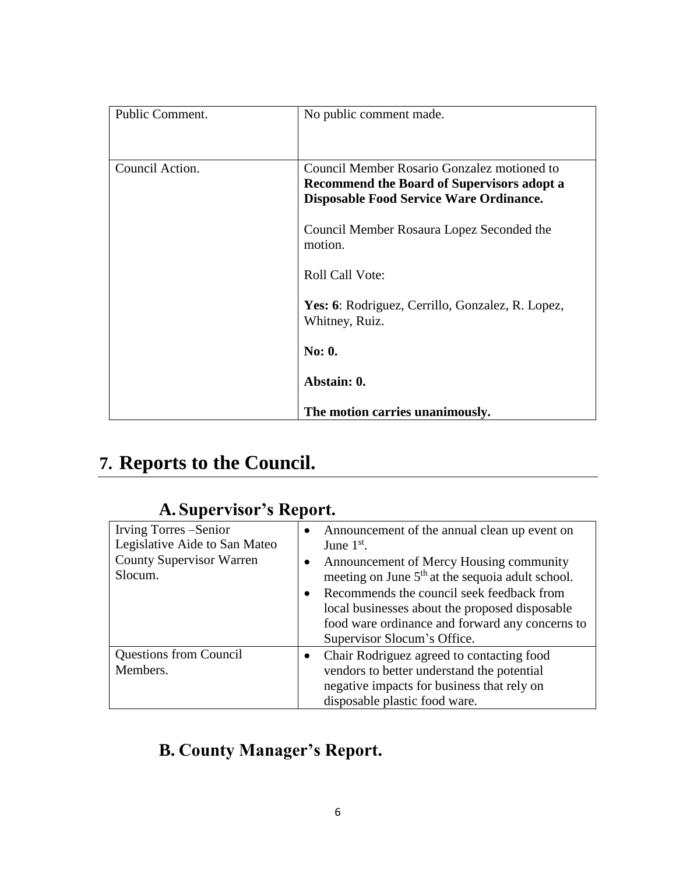| Public Comment. | No public comment made.                                                                                                                            |
|-----------------|----------------------------------------------------------------------------------------------------------------------------------------------------|
| Council Action. | Council Member Rosario Gonzalez motioned to<br><b>Recommend the Board of Supervisors adopt a</b><br><b>Disposable Food Service Ware Ordinance.</b> |
|                 | Council Member Rosaura Lopez Seconded the<br>motion.                                                                                               |
|                 | <b>Roll Call Vote:</b>                                                                                                                             |
|                 | Yes: 6: Rodriguez, Cerrillo, Gonzalez, R. Lopez,<br>Whitney, Ruiz.                                                                                 |
|                 | <b>No: 0.</b>                                                                                                                                      |
|                 | Abstain: 0.                                                                                                                                        |
|                 | The motion carries unanimously.                                                                                                                    |

# **7. Reports to the Council.**

| Irving Torres – Senior<br>Legislative Aide to San Mateo<br><b>County Supervisor Warren</b><br>Slocum. | Announcement of the annual clean up event on<br>$\bullet$<br>June $1st$ .<br>Announcement of Mercy Housing community<br>$\bullet$<br>meeting on June 5 <sup>th</sup> at the sequoia adult school.<br>Recommends the council seek feedback from<br>$\bullet$<br>local businesses about the proposed disposable<br>food ware ordinance and forward any concerns to<br>Supervisor Slocum's Office. |
|-------------------------------------------------------------------------------------------------------|-------------------------------------------------------------------------------------------------------------------------------------------------------------------------------------------------------------------------------------------------------------------------------------------------------------------------------------------------------------------------------------------------|
| <b>Questions from Council</b><br>Members.                                                             | Chair Rodriguez agreed to contacting food<br>$\bullet$<br>vendors to better understand the potential<br>negative impacts for business that rely on<br>disposable plastic food ware.                                                                                                                                                                                                             |

### **A. Supervisor's Report.**

## **B. County Manager's Report.**